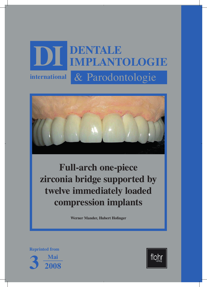# & Parodontologie **DI DENTALE IMPLANTOLOGIE international**



**Full-arch one-piece zirconia bridge supported by twelve immediately loaded compression implants**

**Werner Mander, Hubert Hofinger**

**Reprinted from**



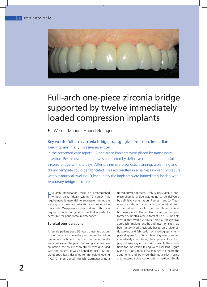

 $S_\alpha$ seiter $D_\alpha$  SD $f$  uhr Seite 2 SD $S_\alpha$ seiter $D_\alpha$  SD $f$  uhr Seite 3  $\alpha$  seite 3  $\alpha$ 

# Full-arch one-piece zirconia bridge supported by twelve immediately loaded compression implants

Werner Mander, Hubert Hofinger

# Key words: full-arch zirconia bridge, transgingival insertion, immediate loading, minimally invasive insertion

In the presented case report, 12 one-piece implants were placed by transgingival insertion. Restorative treatment was completed by definitive cementation of a full-arch zirconia bridge within 5 days. After preliminary diagnostic planning, a planning and drilling template could be fabricated. This aid resulted in a painless implant procedure without mucosal swelling. Subsequently the implants were immediately loaded with a temporary bridge structure.

**Full-arch stabilization must be accomplished**<br>without delay (ideally within 72 hours). This without delay (ideally within 72 hours). This requirement is essential to successful immediate loading of large-span restorations as described in this article. One-piece zirconia bridges of this type require a stable bridge structure that is perfectly accessible for periodontal maintenance.

### **Surgical considerations**

A female patient aged 56 years presented at our office. Her existing maxillary restoration based on precision attachments had become periodontally inadequate over the years. Following a detailed examination, the course of treatment was discussed with the patient. It was planned to insert 12 implants specifically designed for immediate loading (KOS, Dr. Ihde Dental, Munich, Germany) using a

transgingival approach. Only 5 days later, a onepiece zirconia bridge was going to be delivered by definitive cementation (Figures 1 and 2). Treatment was started by extracting all residual teeth in the patient's maxilla. Then an interim restoration was placed. The implant procedure was performed 5 months later. A total of 12 KOS implants were placed within 2 hours, using a transgingival approach. Implant lengths and insertion sites had been determined previously based on a diagnostic wax-up and fabrication of a radiographic template (Figures 3 to 5). No bleeding was observed immediately after placing the implants. Almost no gingival swelling ensued. As a result, the conditions for impression-taking were excellent (Figure 6 and 8). It only took a few minutes to prepare the abutments and optimize their parallelism, using a tungsten-carbide cutter with irrigation. Gentle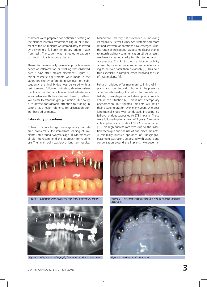chamfers were prepared for optimized seating of the planned zirconia restorations (Figure 7). Placement of the 12 implants was immediately followed by delivering a full-arch temporary bridge made from resin. The patient was instructed to eat only soft food in this temporary phase.

 $S_\mathrm{G}$  , DIC05, 2008 13:47 Uhr Seite 2 SD  $\mathrm{C}_0$  SD  $\mathrm{C}_0$  seite 3 SD  $\mathrm{C}_0$ 

Thanks to the minimally invasive approach, no evidence of inflammation or swelling was observed even 5 days after implant placement (Figure 8). Minor cosmetic adjustments were made in the laboratory shortly before definitive insertion. Subsequently the final bridge was delivered with a resin cement. Following this step, abrasive instruments are used to make final occlusal adjustments in accordance with the individual chewing pattern. We prefer to establish group function. Our policy is to devote considerable attention to "sliding in centric" as a major reference for articulation during these adjustments.

### **Laboratory procedures**

Full-arch zirconia bridges were generally considered problematic for immediate loading of implants until around two years ago [1]. Mörmann et al. did not recommend this approach for routine use. Their main point was lack of long-term results.

Meanwhile, industry has succeeded in improving its reliability. Better CAD/CAM systems and more refined software applications have emerged. Also, the range of indications has become clearer thanks to interdisciplinary communication [2]. As a result, we have increasingly adopted this technology in our practice. Thanks to the high biocompatibility offered by zirconia, we consider immediate loading to be even safer than previously [3]. This hold true especially in complex cases involving the use of KOS implants [4].

Full-arch bridges offer maximum splinting of implants and good force distribution in the presence of immediate loading. In contrast to formerly held beliefs, osseointegration will develop very predictably in this situation [7]. This is not a temporary phenomenon, but splinted implants will retain their osseointegration over many years. A 9-year longitudinal study was conducted, including 89 full-arch bridges supported by 678 implants. These were followed up for a mean of 3 years. A respectable implant success rate of 95.7% was obtained [6]. This high success rate was due to the insertion technique and the use of one-piece implants. A minimally invasive approach of transgingival placement was taken, associated with lateral bone condensation around the implants. Moreover, all



*Figure 1 Situation immediately after transgingival insertion.*



*Figure 3 Diagnostic radiograph, five months prior to treatment.*



*Figure 2 The completed restoration five days after implant insertion.*



*Figure 4 Radiographic template*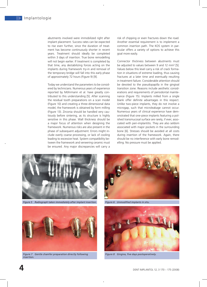abutments involved were immobilized right after implant placement. Success rates can be expected to rise even further, since the duration of treatment has become continuously shorter in recent years. Treatment should ideally be completed within 3 days of insertion. True bone remodelling will not begin earlier. If treatment is completed by that time, any destabilizing forces acting on the implants during framework try-in and removal of the temporary bridge will fall into this early phase of approximately 72 hours (Figure 9) [9].

Today we understand the parameters to be considered by technicians. Numerous years of experience reported by Möhrmann et al. have greatly contributed to this understanding [5]. After scanning the residual tooth preparations on a scan model (Figure 10) and creating a three-dimensional data model, the framework is obtained by form milling (Figure 13). Zirconia should be handled very cautiously before sintering, as its structure is highly sensitive in this phase. Wall thickness should be a major focus of attention when designing the framework. Numerous risks are also present in the phase of subsequent adjustment. Errors might include overly coarse processing, or lack of cooling leading to excessive heat. System compatibility between the framework and veneering ceramic must be ensured. Any major discrepancies will carry a

risk of chipping or even fractures down the road. Another essential requirement is to implement a common insertion path. The KOS system in particular offers a variety of options to achieve this goal more easily.

 $S_\alpha$ seiter $D_\alpha$  is the  $15.07$  Uhr Seite  $4.07$  uhr Seite  $4.07$  uhr Seite  $5.07$ 

Connector thickness between abutments must be adjusted to values between 9 and 12 mm² [5]. Values below this level carry a risk of crack formation in situations of extreme loading, thus causing fractures at a later time and eventually resulting in treatment failure. Considerable attention should be devoted to the pseudopapilla in the gingival transition zone. Reasons include aesthetic considerations and requirements of periodontal maintenance (Figure 15). Implants milled from a single blank offer definite advantages in this respect. Unlike two-piece implants, they do not involve a microgap, such that microleakage cannot occur. Numerous years of clinical experience have demonstrated that one-piece implants featuring a polished transmucosal surface are rarely, if ever, associated with peri-implantitis. They are also seldom associated with major pockets in the surrounding bone [6]. Stresses should be avoided at all costs during insertion of the framework. Again, there should be no interference with early bone remodelling. No pressure must be applied.

![](_page_3_Picture_5.jpeg)

*Figure 5 Radiograph taken immediately after implant insertion.*

![](_page_3_Picture_7.jpeg)

*Figure 6 Unmodified implants in situ.*

![](_page_3_Picture_9.jpeg)

*Figure 7 Gentle chamfer preparation directly following insertion.*

![](_page_3_Picture_11.jpeg)

*Figure 8 Gingiva, five days postoperatively.*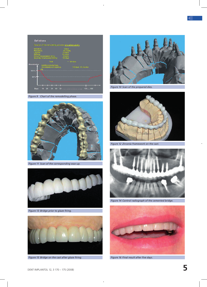![](_page_4_Figure_1.jpeg)

*Figure 9 Chart of the remodelling phase.*

 $S_\mathrm{G}$  , DIC05, 2008 13:47 Uhr Seite 4 SD  $_\mathrm{G}$  SD  $_\mathrm{G}$  seite 5 SD  $_\mathrm{G}$ 

![](_page_4_Picture_3.jpeg)

*Figure 11 Scan of the corresponding wax-up.*

![](_page_4_Picture_5.jpeg)

*Figure 13 Bridge prior to glaze firing.*

![](_page_4_Picture_7.jpeg)

*Figure 15 Bridge on the cast after glaze firing. Figure 16 Final result after five days.*

![](_page_4_Picture_9.jpeg)

*Figure 10 Scan of the prepared dies.*

![](_page_4_Picture_11.jpeg)

*Figure 12 Zirconia framework on the cast.*

![](_page_4_Picture_13.jpeg)

*Figure 14 Control radiograph of the cemented bridge.*

![](_page_4_Picture_15.jpeg)

 $\bar{1}$